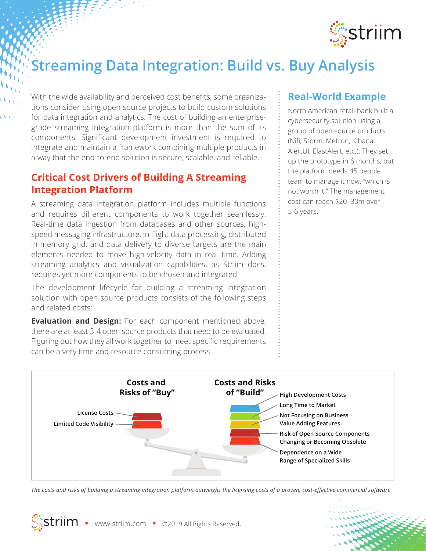

# **Streaming Data Integration: Build vs. Buy Analysis**

With the wide availability and perceived cost benefits, some organizations consider using open source projects to build custom solutions for data integration and analytics. The cost of building an enterprisegrade streaming integration platform is more than the sum of its components. Significant development investment is required to integrate and maintain a framework combining multiple products in a way that the end-to-end solution is secure, scalable, and reliable.

#### **Critical Cost Drivers of Building A Streaming Integration Platform**

A streaming data integration platform includes multiple functions and requires different components to work together seamlessly. Real-time data ingestion from databases and other sources, highspeed messaging infrastructure, in-flight data processing, distributed in-memory grid, and data delivery to diverse targets are the main elements needed to move high-velocity data in real time. Adding streaming analytics and visualization capabilities, as Striim does, requires yet more components to be chosen and integrated.

The development lifecycle for building a streaming integration solution with open source products consists of the following steps and related costs:

**Evaluation and Design:** For each component mentioned above, there are at least 3-4 open source products that need to be evaluated. Figuring out how they all work together to meet specific requirements can be a very time and resource consuming process.

#### **Real-World Example**

North American retail bank built a cybersecurity solution using a group of open source products (Nifi, Storm, Metron, Kibana, AlertUI, ElastAlert, etc.). They set up the prototype in 6 months, but the platform needs 45 people team to manage it now, "which is not worth it." The management cost can reach \$20–30m over 5-6 years.



*The costs and risks of building a streaming integration platform outweighs the licensing costs of a proven, cost-effective commercial software*